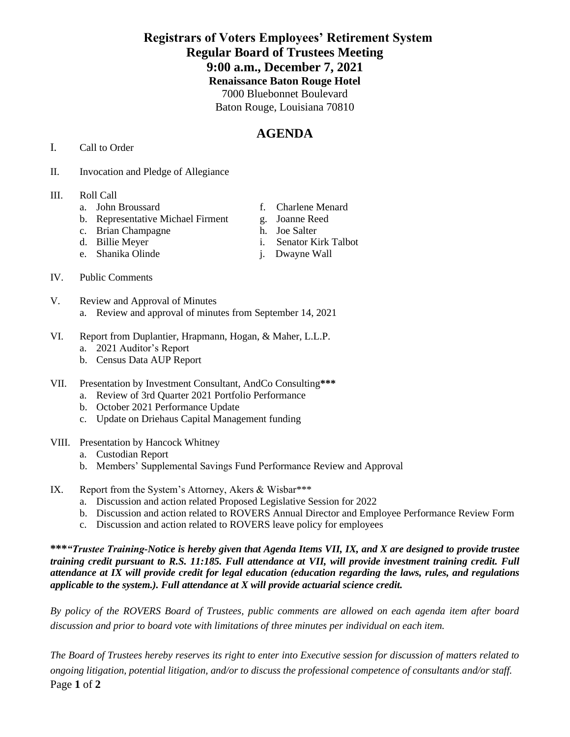### **Registrars of Voters Employees' Retirement System Regular Board of Trustees Meeting 9:00 a.m., December 7, 2021 Renaissance Baton Rouge Hotel** 7000 Bluebonnet Boulevard Baton Rouge, Louisiana 70810

# **AGENDA**

- I. Call to Order
- II. Invocation and Pledge of Allegiance

#### III. Roll Call

- 
- b. Representative Michael Firment g. Joanne Reed<br>c. Brian Champagne h. Joe Salter
- c. Brian Champagne
- 
- e. Shanika Olinde j. Dwayne Wall
- a. John Broussard f. Charlene Menard
	-
	-
- d. Billie Meyer i. Senator Kirk Talbot
	-

- IV. Public Comments
- V. Review and Approval of Minutes a. Review and approval of minutes from September 14, 2021
- VI. Report from Duplantier, Hrapmann, Hogan, & Maher, L.L.P.
	- a. 2021 Auditor's Report
	- b. Census Data AUP Report
- VII. Presentation by Investment Consultant, AndCo Consulting**\*\*\***
	- a. Review of 3rd Quarter 2021 Portfolio Performance
	- b. October 2021 Performance Update
	- c. Update on Driehaus Capital Management funding
- VIII. Presentation by Hancock Whitney
	- a. Custodian Report
	- b. Members' Supplemental Savings Fund Performance Review and Approval
- IX. Report from the System's Attorney, Akers & Wisbar\*\*\*
	- a. Discussion and action related Proposed Legislative Session for 2022
	- b. Discussion and action related to ROVERS Annual Director and Employee Performance Review Form
	- c. Discussion and action related to ROVERS leave policy for employees

**\*\*\****"Trustee Training-Notice is hereby given that Agenda Items VII, IX, and X are designed to provide trustee training credit pursuant to R.S. 11:185. Full attendance at VII, will provide investment training credit. Full attendance at IX will provide credit for legal education (education regarding the laws, rules, and regulations applicable to the system.). Full attendance at X will provide actuarial science credit.* 

*By policy of the ROVERS Board of Trustees, public comments are allowed on each agenda item after board discussion and prior to board vote with limitations of three minutes per individual on each item.*

Page **1** of **2** *The Board of Trustees hereby reserves its right to enter into Executive session for discussion of matters related to ongoing litigation, potential litigation, and/or to discuss the professional competence of consultants and/or staff.*